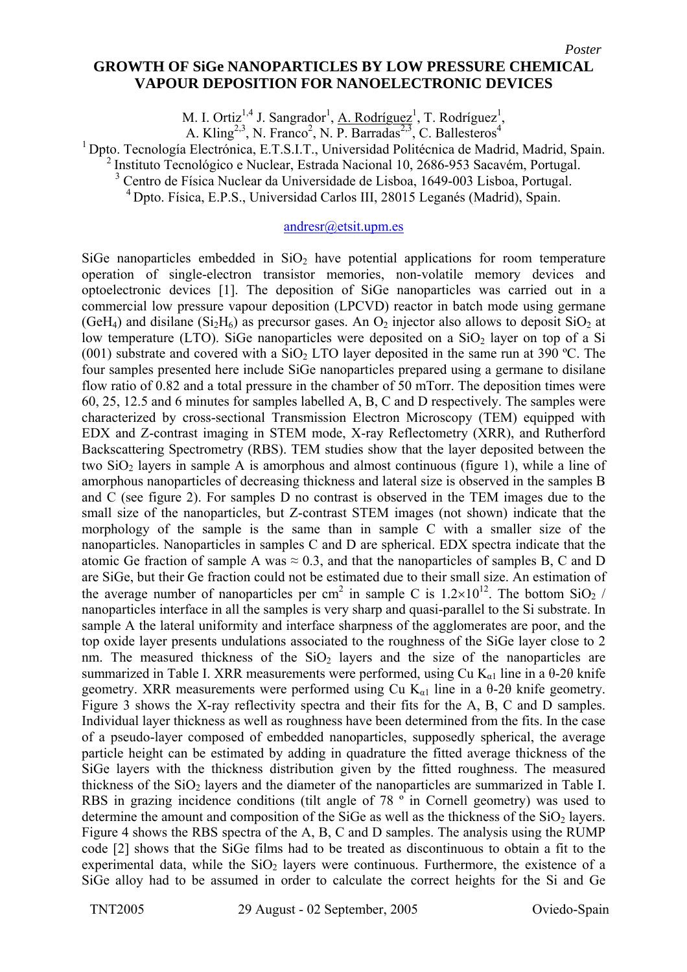## **GROWTH OF SiGe NANOPARTICLES BY LOW PRESSURE CHEMICAL VAPOUR DEPOSITION FOR NANOELECTRONIC DEVICES**

M. I. Ortiz<sup>1,4</sup> J. Sangrador<sup>1</sup>, A. Rodríguez<sup>1</sup>, T. Rodríguez<sup>1</sup>,

A. Kling<sup>2,3</sup>, N. Franco<sup>2</sup>, N. P. Barradas<sup>2,3</sup>, C. Ballesteros<sup>4</sup>

1 Dpto. Tecnología Electrónica, E.T.S.I.T., Universidad Politécnica de Madrid, Madrid, Spain.

<sup>2</sup> Instituto Tecnológico e Nuclear, Estrada Nacional 10, 2686-953 Sacavém, Portugal.

3 Centro de Física Nuclear da Universidade de Lisboa, 1649-003 Lisboa, Portugal.

4 Dpto. Física, E.P.S., Universidad Carlos III, 28015 Leganés (Madrid), Spain.

## [andresr@etsit.upm.es](mailto:antonio@cmp-cientifica.com)

SiGe nanoparticles embedded in  $SiO<sub>2</sub>$  have potential applications for room temperature operation of single-electron transistor memories, non-volatile memory devices and optoelectronic devices [1]. The deposition of SiGe nanoparticles was carried out in a commercial low pressure vapour deposition (LPCVD) reactor in batch mode using germane (GeH<sub>4</sub>) and disilane (Si<sub>2</sub>H<sub>6</sub>) as precursor gases. An  $O_2$  injector also allows to deposit SiO<sub>2</sub> at low temperature (LTO). SiGe nanoparticles were deposited on a  $SiO<sub>2</sub>$  layer on top of a Si (001) substrate and covered with a  $SiO<sub>2</sub>$  LTO layer deposited in the same run at 390 °C. The four samples presented here include SiGe nanoparticles prepared using a germane to disilane flow ratio of 0.82 and a total pressure in the chamber of 50 mTorr. The deposition times were 60, 25, 12.5 and 6 minutes for samples labelled A, B, C and D respectively. The samples were characterized by cross-sectional Transmission Electron Microscopy (TEM) equipped with EDX and Z-contrast imaging in STEM mode, X-ray Reflectometry (XRR), and Rutherford Backscattering Spectrometry (RBS). TEM studies show that the layer deposited between the two  $SiO<sub>2</sub>$  layers in sample A is amorphous and almost continuous (figure 1), while a line of amorphous nanoparticles of decreasing thickness and lateral size is observed in the samples B and C (see figure 2). For samples D no contrast is observed in the TEM images due to the small size of the nanoparticles, but Z-contrast STEM images (not shown) indicate that the morphology of the sample is the same than in sample C with a smaller size of the nanoparticles. Nanoparticles in samples C and D are spherical. EDX spectra indicate that the atomic Ge fraction of sample A was  $\approx 0.3$ , and that the nanoparticles of samples B, C and D are SiGe, but their Ge fraction could not be estimated due to their small size. An estimation of the average number of nanoparticles per cm<sup>2</sup> in sample C is  $1.2 \times 10^{12}$ . The bottom SiO<sub>2</sub> / nanoparticles interface in all the samples is very sharp and quasi-parallel to the Si substrate. In sample A the lateral uniformity and interface sharpness of the agglomerates are poor, and the top oxide layer presents undulations associated to the roughness of the SiGe layer close to 2 nm. The measured thickness of the  $SiO<sub>2</sub>$  layers and the size of the nanoparticles are summarized in Table I. XRR measurements were performed, using Cu  $K_{\alpha 1}$  line in a 0-20 knife geometry. XRR measurements were performed using Cu  $K_{a1}$  line in a 0-20 knife geometry. Figure 3 shows the X-ray reflectivity spectra and their fits for the A, B, C and D samples. Individual layer thickness as well as roughness have been determined from the fits. In the case of a pseudo-layer composed of embedded nanoparticles, supposedly spherical, the average particle height can be estimated by adding in quadrature the fitted average thickness of the SiGe layers with the thickness distribution given by the fitted roughness. The measured thickness of the  $SiO<sub>2</sub>$  layers and the diameter of the nanoparticles are summarized in Table I. RBS in grazing incidence conditions (tilt angle of 78 º in Cornell geometry) was used to determine the amount and composition of the SiGe as well as the thickness of the  $SiO<sub>2</sub>$  layers. Figure 4 shows the RBS spectra of the A, B, C and D samples. The analysis using the RUMP code [2] shows that the SiGe films had to be treated as discontinuous to obtain a fit to the experimental data, while the  $SiO<sub>2</sub>$  layers were continuous. Furthermore, the existence of a SiGe alloy had to be assumed in order to calculate the correct heights for the Si and Ge